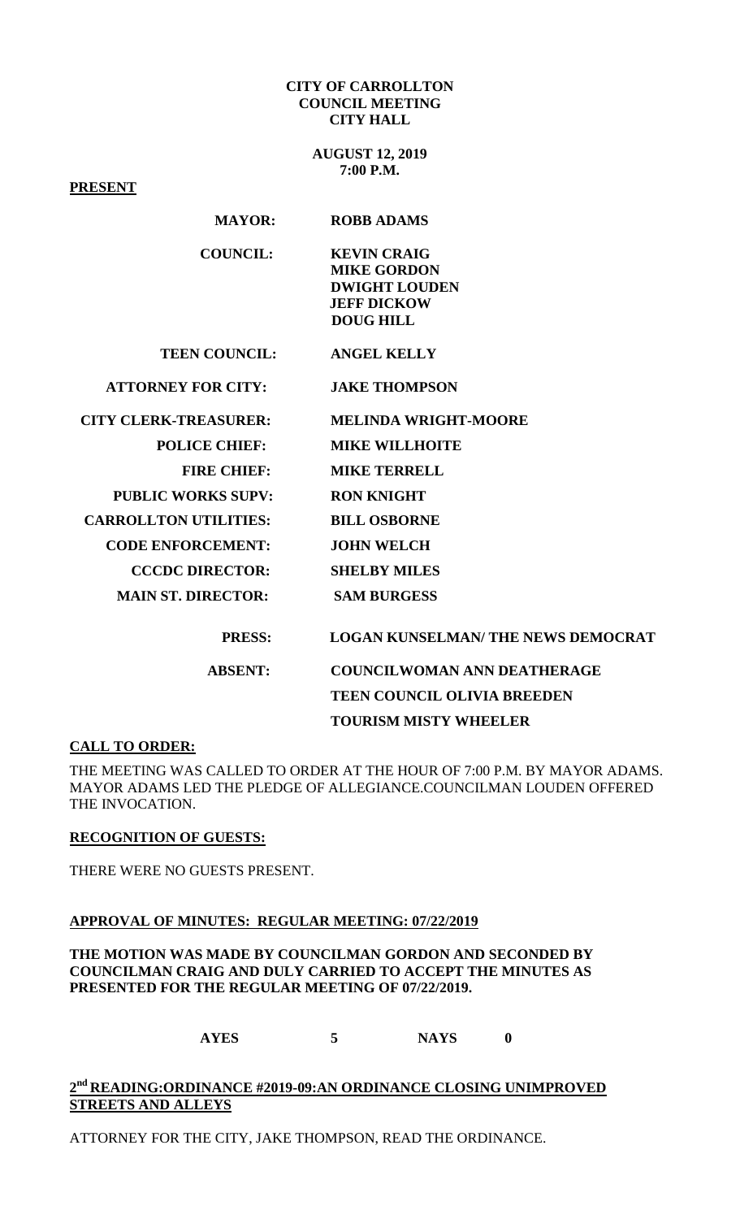#### **CITY OF CARROLLTON COUNCIL MEETING CITY HALL**

**AUGUST 12, 2019 7:00 P.M.**

**PRESENT**

## **MAYOR: ROBB ADAMS**

| <b>COUNCIL:</b> | <b>KEVIN CRAIG</b>   |
|-----------------|----------------------|
|                 | <b>MIKE GORDON</b>   |
|                 | <b>DWIGHT LOUDEN</b> |
|                 | <b>JEFF DICKOW</b>   |
|                 | DOUG HILL            |

**TEEN COUNCIL: ANGEL KELLY**

 **ATTORNEY FOR CITY: JAKE THOMPSON**

| <b>CITY CLERK-TREASURER:</b> | <b>MELINDA WRIGHT-MOORE</b>               |
|------------------------------|-------------------------------------------|
| <b>POLICE CHIEF:</b>         | <b>MIKE WILLHOITE</b>                     |
| <b>FIRE CHIEF:</b>           | <b>MIKE TERRELL</b>                       |
| <b>PUBLIC WORKS SUPV:</b>    | <b>RON KNIGHT</b>                         |
| <b>CARROLLTON UTILITIES:</b> | <b>BILL OSBORNE</b>                       |
| <b>CODE ENFORCEMENT:</b>     | <b>JOHN WELCH</b>                         |
| <b>CCCDC DIRECTOR:</b>       | <b>SHELBY MILES</b>                       |
| <b>MAIN ST. DIRECTOR:</b>    | <b>SAM BURGESS</b>                        |
|                              |                                           |
| <b>PRESS:</b>                | <b>LOGAN KUNSELMAN/ THE NEWS DEMOCRAT</b> |
| <b>ABSENT:</b>               | <b>COUNCILWOMAN ANN DEATHERAGE</b>        |

**TEEN COUNCIL OLIVIA BREEDEN TOURISM MISTY WHEELER**

### **CALL TO ORDER:**

THE MEETING WAS CALLED TO ORDER AT THE HOUR OF 7:00 P.M. BY MAYOR ADAMS. MAYOR ADAMS LED THE PLEDGE OF ALLEGIANCE.COUNCILMAN LOUDEN OFFERED THE INVOCATION.

### **RECOGNITION OF GUESTS:**

THERE WERE NO GUESTS PRESENT.

### **APPROVAL OF MINUTES: REGULAR MEETING: 07/22/2019**

**THE MOTION WAS MADE BY COUNCILMAN GORDON AND SECONDED BY COUNCILMAN CRAIG AND DULY CARRIED TO ACCEPT THE MINUTES AS PRESENTED FOR THE REGULAR MEETING OF 07/22/2019.**

**AYES 5 NAYS 0**

# **2nd READING:ORDINANCE #2019-09:AN ORDINANCE CLOSING UNIMPROVED STREETS AND ALLEYS**

ATTORNEY FOR THE CITY, JAKE THOMPSON, READ THE ORDINANCE.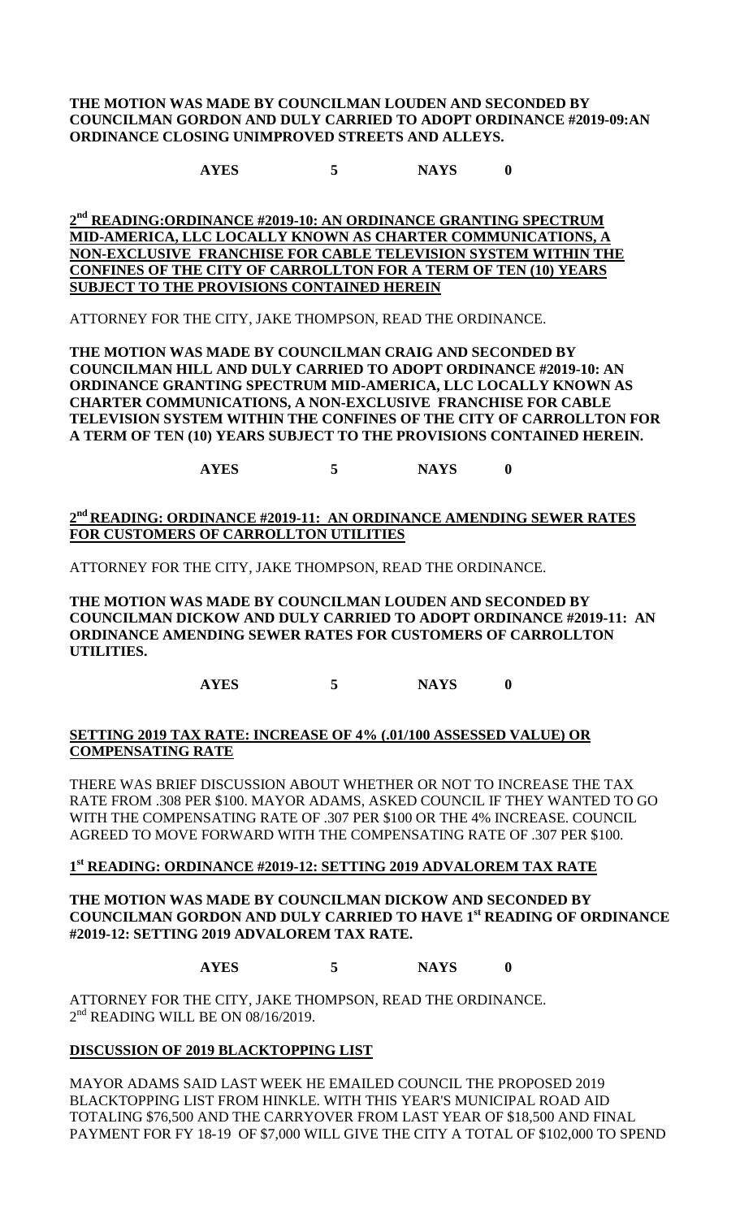#### **THE MOTION WAS MADE BY COUNCILMAN LOUDEN AND SECONDED BY COUNCILMAN GORDON AND DULY CARRIED TO ADOPT ORDINANCE #2019-09:AN ORDINANCE CLOSING UNIMPROVED STREETS AND ALLEYS.**

**AYES 5 NAYS 0**

## **2nd READING:ORDINANCE #2019-10: AN ORDINANCE GRANTING SPECTRUM MID-AMERICA, LLC LOCALLY KNOWN AS CHARTER COMMUNICATIONS, A NON-EXCLUSIVE FRANCHISE FOR CABLE TELEVISION SYSTEM WITHIN THE CONFINES OF THE CITY OF CARROLLTON FOR A TERM OF TEN (10) YEARS SUBJECT TO THE PROVISIONS CONTAINED HEREIN**

ATTORNEY FOR THE CITY, JAKE THOMPSON, READ THE ORDINANCE.

**THE MOTION WAS MADE BY COUNCILMAN CRAIG AND SECONDED BY COUNCILMAN HILL AND DULY CARRIED TO ADOPT ORDINANCE #2019-10: AN ORDINANCE GRANTING SPECTRUM MID-AMERICA, LLC LOCALLY KNOWN AS CHARTER COMMUNICATIONS, A NON-EXCLUSIVE FRANCHISE FOR CABLE TELEVISION SYSTEM WITHIN THE CONFINES OF THE CITY OF CARROLLTON FOR A TERM OF TEN (10) YEARS SUBJECT TO THE PROVISIONS CONTAINED HEREIN.**

**AYES 5 NAYS 0**

## **2nd READING: ORDINANCE #2019-11: AN ORDINANCE AMENDING SEWER RATES FOR CUSTOMERS OF CARROLLTON UTILITIES**

ATTORNEY FOR THE CITY, JAKE THOMPSON, READ THE ORDINANCE.

**THE MOTION WAS MADE BY COUNCILMAN LOUDEN AND SECONDED BY COUNCILMAN DICKOW AND DULY CARRIED TO ADOPT ORDINANCE #2019-11: AN ORDINANCE AMENDING SEWER RATES FOR CUSTOMERS OF CARROLLTON UTILITIES.**

**AYES 5 NAYS 0**

## **SETTING 2019 TAX RATE: INCREASE OF 4% (.01/100 ASSESSED VALUE) OR COMPENSATING RATE**

THERE WAS BRIEF DISCUSSION ABOUT WHETHER OR NOT TO INCREASE THE TAX RATE FROM .308 PER \$100. MAYOR ADAMS, ASKED COUNCIL IF THEY WANTED TO GO WITH THE COMPENSATING RATE OF .307 PER \$100 OR THE 4% INCREASE. COUNCIL AGREED TO MOVE FORWARD WITH THE COMPENSATING RATE OF .307 PER \$100.

# **1st READING: ORDINANCE #2019-12: SETTING 2019 ADVALOREM TAX RATE**

### **THE MOTION WAS MADE BY COUNCILMAN DICKOW AND SECONDED BY COUNCILMAN GORDON AND DULY CARRIED TO HAVE 1st READING OF ORDINANCE #2019-12: SETTING 2019 ADVALOREM TAX RATE.**

# **AYES 5 NAYS 0**

ATTORNEY FOR THE CITY, JAKE THOMPSON, READ THE ORDINANCE.  $2<sup>nd</sup>$  READING WILL BE ON 08/16/2019.

# **DISCUSSION OF 2019 BLACKTOPPING LIST**

MAYOR ADAMS SAID LAST WEEK HE EMAILED COUNCIL THE PROPOSED 2019 BLACKTOPPING LIST FROM HINKLE. WITH THIS YEAR'S MUNICIPAL ROAD AID TOTALING \$76,500 AND THE CARRYOVER FROM LAST YEAR OF \$18,500 AND FINAL PAYMENT FOR FY 18-19 OF \$7,000 WILL GIVE THE CITY A TOTAL OF \$102,000 TO SPEND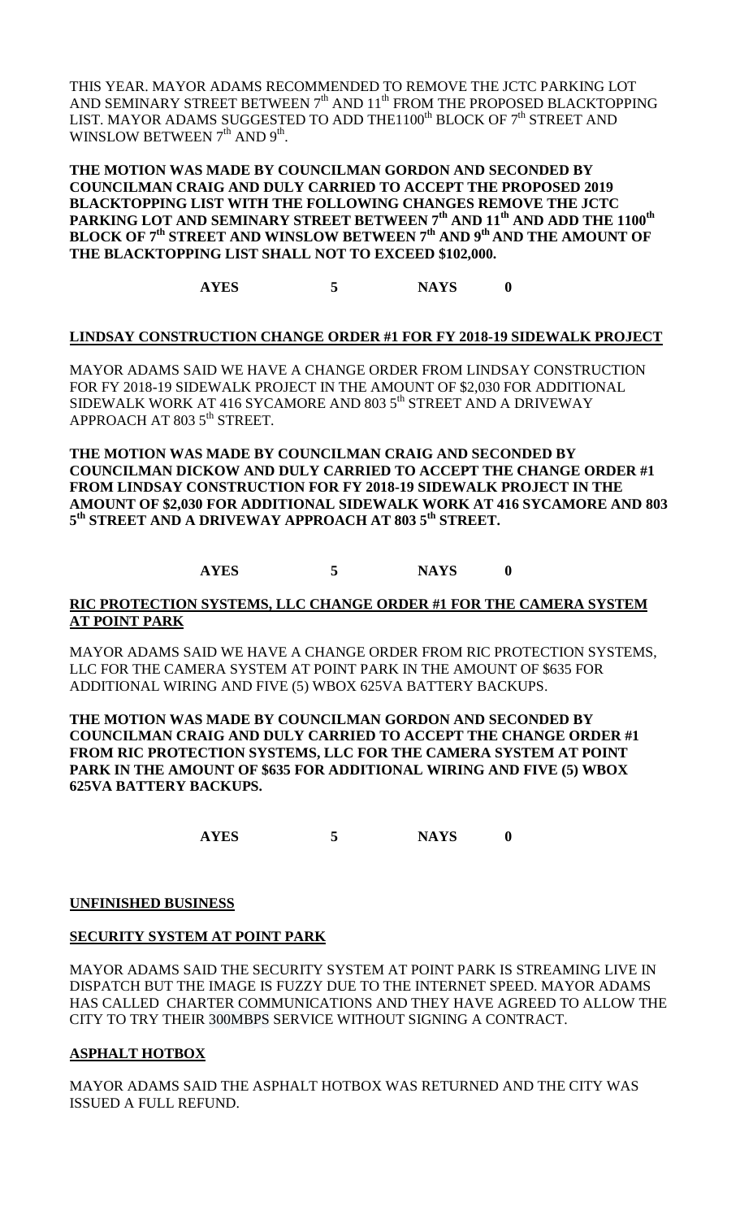THIS YEAR. MAYOR ADAMS RECOMMENDED TO REMOVE THE JCTC PARKING LOT AND SEMINARY STREET BETWEEN 7<sup>th</sup> AND 11<sup>th</sup> FROM THE PROPOSED BLACKTOPPING LIST. MAYOR ADAMS SUGGESTED TO ADD THE1100<sup>th</sup> BLOCK OF  $7<sup>th</sup>$  STREET AND WINSLOW BETWEEN  $7<sup>th</sup>$  AND  $9<sup>th</sup>$ .

**THE MOTION WAS MADE BY COUNCILMAN GORDON AND SECONDED BY COUNCILMAN CRAIG AND DULY CARRIED TO ACCEPT THE PROPOSED 2019 BLACKTOPPING LIST WITH THE FOLLOWING CHANGES REMOVE THE JCTC PARKING LOT AND SEMINARY STREET BETWEEN 7th AND 11th AND ADD THE 1100th BLOCK OF 7th STREET AND WINSLOW BETWEEN 7th AND 9th AND THE AMOUNT OF THE BLACKTOPPING LIST SHALL NOT TO EXCEED \$102,000.**

**AYES 5 NAYS 0**

## **LINDSAY CONSTRUCTION CHANGE ORDER #1 FOR FY 2018-19 SIDEWALK PROJECT**

MAYOR ADAMS SAID WE HAVE A CHANGE ORDER FROM LINDSAY CONSTRUCTION FOR FY 2018-19 SIDEWALK PROJECT IN THE AMOUNT OF \$2,030 FOR ADDITIONAL SIDEWALK WORK AT 416 SYCAMORE AND 803 5<sup>th</sup> STREET AND A DRIVEWAY APPROACH AT 803 5<sup>th</sup> STREET.

**THE MOTION WAS MADE BY COUNCILMAN CRAIG AND SECONDED BY COUNCILMAN DICKOW AND DULY CARRIED TO ACCEPT THE CHANGE ORDER #1 FROM LINDSAY CONSTRUCTION FOR FY 2018-19 SIDEWALK PROJECT IN THE AMOUNT OF \$2,030 FOR ADDITIONAL SIDEWALK WORK AT 416 SYCAMORE AND 803 5th STREET AND A DRIVEWAY APPROACH AT 803 5th STREET.**

## **AYES 5 NAYS 0**

#### **RIC PROTECTION SYSTEMS, LLC CHANGE ORDER #1 FOR THE CAMERA SYSTEM AT POINT PARK**

MAYOR ADAMS SAID WE HAVE A CHANGE ORDER FROM RIC PROTECTION SYSTEMS, LLC FOR THE CAMERA SYSTEM AT POINT PARK IN THE AMOUNT OF \$635 FOR ADDITIONAL WIRING AND FIVE (5) WBOX 625VA BATTERY BACKUPS.

**THE MOTION WAS MADE BY COUNCILMAN GORDON AND SECONDED BY COUNCILMAN CRAIG AND DULY CARRIED TO ACCEPT THE CHANGE ORDER #1 FROM RIC PROTECTION SYSTEMS, LLC FOR THE CAMERA SYSTEM AT POINT PARK IN THE AMOUNT OF \$635 FOR ADDITIONAL WIRING AND FIVE (5) WBOX 625VA BATTERY BACKUPS.**

**AYES 5 NAYS 0**

#### **UNFINISHED BUSINESS**

### **SECURITY SYSTEM AT POINT PARK**

MAYOR ADAMS SAID THE SECURITY SYSTEM AT POINT PARK IS STREAMING LIVE IN DISPATCH BUT THE IMAGE IS FUZZY DUE TO THE INTERNET SPEED. MAYOR ADAMS HAS CALLED CHARTER COMMUNICATIONS AND THEY HAVE AGREED TO ALLOW THE CITY TO TRY THEIR 300MBPS SERVICE WITHOUT SIGNING A CONTRACT.

### **ASPHALT HOTBOX**

MAYOR ADAMS SAID THE ASPHALT HOTBOX WAS RETURNED AND THE CITY WAS ISSUED A FULL REFUND.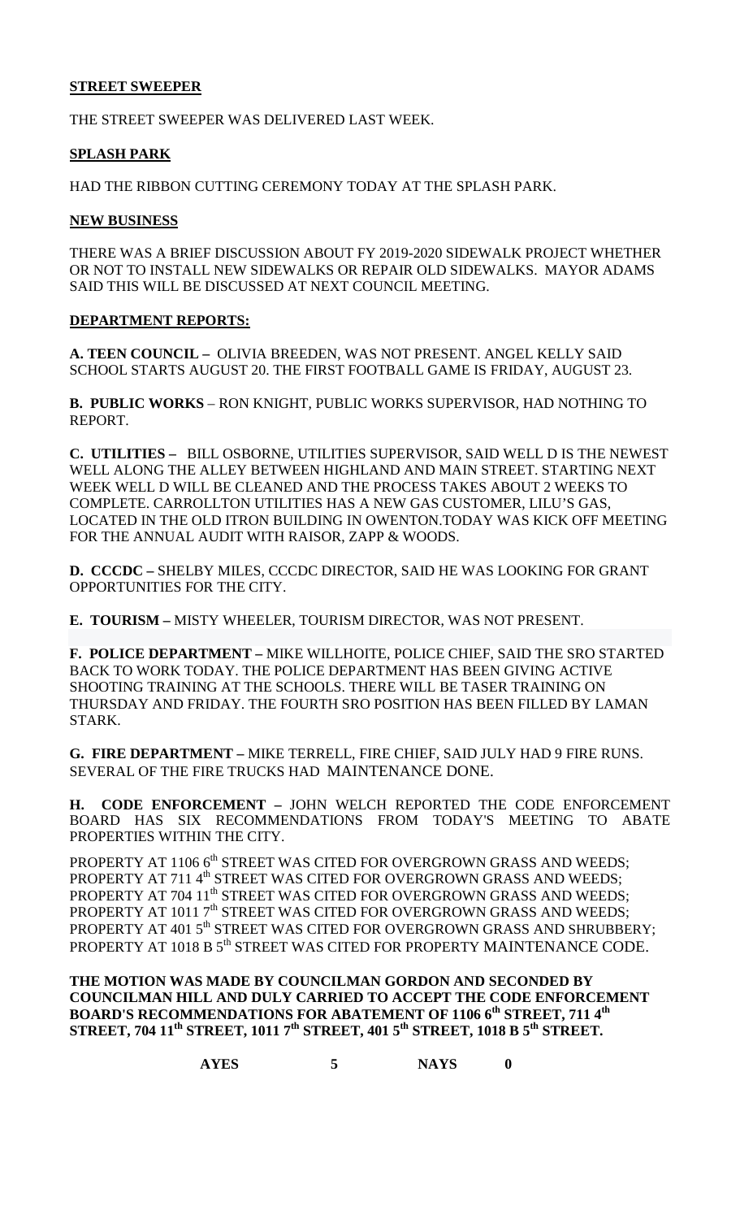## **STREET SWEEPER**

THE STREET SWEEPER WAS DELIVERED LAST WEEK.

## **SPLASH PARK**

HAD THE RIBBON CUTTING CEREMONY TODAY AT THE SPLASH PARK.

### **NEW BUSINESS**

THERE WAS A BRIEF DISCUSSION ABOUT FY 2019-2020 SIDEWALK PROJECT WHETHER OR NOT TO INSTALL NEW SIDEWALKS OR REPAIR OLD SIDEWALKS. MAYOR ADAMS SAID THIS WILL BE DISCUSSED AT NEXT COUNCIL MEETING.

### **DEPARTMENT REPORTS:**

**A. TEEN COUNCIL –** OLIVIA BREEDEN, WAS NOT PRESENT. ANGEL KELLY SAID SCHOOL STARTS AUGUST 20. THE FIRST FOOTBALL GAME IS FRIDAY, AUGUST 23.

**B. PUBLIC WORKS** – RON KNIGHT, PUBLIC WORKS SUPERVISOR, HAD NOTHING TO REPORT.

**C. UTILITIES –** BILL OSBORNE, UTILITIES SUPERVISOR, SAID WELL D IS THE NEWEST WELL ALONG THE ALLEY BETWEEN HIGHLAND AND MAIN STREET. STARTING NEXT WEEK WELL D WILL BE CLEANED AND THE PROCESS TAKES ABOUT 2 WEEKS TO COMPLETE. CARROLLTON UTILITIES HAS A NEW GAS CUSTOMER, LILU'S GAS, LOCATED IN THE OLD ITRON BUILDING IN OWENTON.TODAY WAS KICK OFF MEETING FOR THE ANNUAL AUDIT WITH RAISOR, ZAPP & WOODS.

**D. CCCDC –** SHELBY MILES, CCCDC DIRECTOR, SAID HE WAS LOOKING FOR GRANT OPPORTUNITIES FOR THE CITY.

**E. TOURISM –** MISTY WHEELER, TOURISM DIRECTOR, WAS NOT PRESENT.

**F. POLICE DEPARTMENT –** MIKE WILLHOITE, POLICE CHIEF, SAID THE SRO STARTED BACK TO WORK TODAY. THE POLICE DEPARTMENT HAS BEEN GIVING ACTIVE SHOOTING TRAINING AT THE SCHOOLS. THERE WILL BE TASER TRAINING ON THURSDAY AND FRIDAY. THE FOURTH SRO POSITION HAS BEEN FILLED BY LAMAN STARK.

**G. FIRE DEPARTMENT –** MIKE TERRELL, FIRE CHIEF, SAID JULY HAD 9 FIRE RUNS. SEVERAL OF THE FIRE TRUCKS HAD MAINTENANCE DONE.

**H. CODE ENFORCEMENT –** JOHN WELCH REPORTED THE CODE ENFORCEMENT BOARD HAS SIX RECOMMENDATIONS FROM TODAY'S MEETING TO ABATE PROPERTIES WITHIN THE CITY.

PROPERTY AT 1106 6<sup>th</sup> STREET WAS CITED FOR OVERGROWN GRASS AND WEEDS; PROPERTY AT 711 4<sup>th</sup> STREET WAS CITED FOR OVERGROWN GRASS AND WEEDS; PROPERTY AT 704 11<sup>th</sup> STREET WAS CITED FOR OVERGROWN GRASS AND WEEDS; PROPERTY AT 1011 7<sup>th</sup> STREET WAS CITED FOR OVERGROWN GRASS AND WEEDS; PROPERTY AT 401 5<sup>th</sup> STREET WAS CITED FOR OVERGROWN GRASS AND SHRUBBERY; PROPERTY AT 1018 B 5<sup>th</sup> STREET WAS CITED FOR PROPERTY MAINTENANCE CODE.

**THE MOTION WAS MADE BY COUNCILMAN GORDON AND SECONDED BY COUNCILMAN HILL AND DULY CARRIED TO ACCEPT THE CODE ENFORCEMENT BOARD'S RECOMMENDATIONS FOR ABATEMENT OF 1106 6th STREET, 711 4th STREET, 704 11th STREET, 1011 7th STREET, 401 5th STREET, 1018 B 5th STREET.**

**AYES 5 NAYS 0**